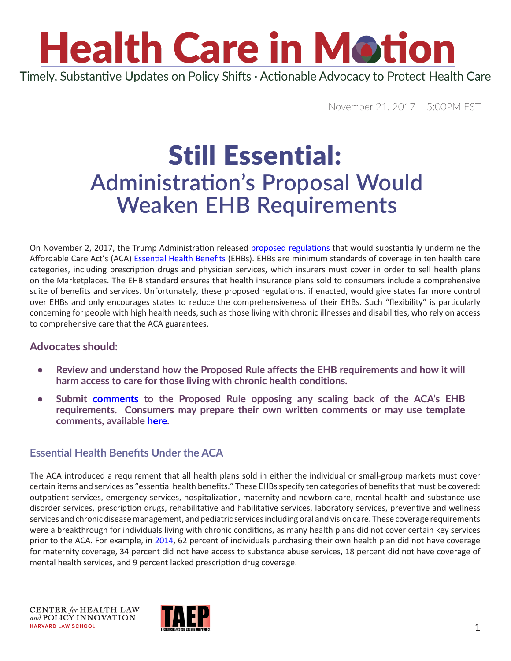## **Health Care in Motion** Timely, Substantive Updates on Policy Shifts · Actionable Advocacy to Protect Health Care

November 21, 2017 5:00PM EST

### Still Essential: **Administration's Proposal Would Weaken EHB Requirements**

On November 2, 2017, the Trump Administration released [proposed regulations](https://www.federalregister.gov/documents/2017/11/02/2017-23599/patient-protection-and-affordable-care-act-hhs-notice-of-benefit-and-payment-parameters-for-2019) that would substantially undermine the Affordable Care Act's (ACA) [Essential Health Benefits](https://www.healthcare.gov/coverage/what-marketplace-plans-cover/) (EHBs). EHBs are minimum standards of coverage in ten health care categories, including prescription drugs and physician services, which insurers must cover in order to sell health plans on the Marketplaces. The EHB standard ensures that health insurance plans sold to consumers include a comprehensive suite of benefits and services. Unfortunately, these proposed regulations, if enacted, would give states far more control over EHBs and only encourages states to reduce the comprehensiveness of their EHBs. Such "flexibility" is particularly concerning for people with high health needs, such as those living with chronic illnesses and disabilities, who rely on access to comprehensive care that the ACA guarantees.

#### **Advocates should:**

- **• Review and understand how the Proposed Rule affects the EHB requirements and how it will harm access to care for those living with chronic health conditions.**
- **Submit [comments](https://www.regulations.gov/comment?D=HHS_FRDOC_0001-0679) to the Proposed Rule opposing any scaling back of the ACA's EHB requirements. Consumers may prepare their own written comments or may use template comments, available [here](https://www.chlpi.org/wp-content/uploads/2013/12/Consumer-EHB-Comment-Template-Final.docx).**

### **Essential Health Benefits Under the ACA**

The ACA introduced a requirement that all health plans sold in either the individual or small-group markets must cover certain items and services as "essential health benefits." These EHBs specify ten categories of benefits that must be covered: outpatient services, emergency services, hospitalization, maternity and newborn care, mental health and substance use disorder services, prescription drugs, rehabilitative and habilitative services, laboratory services, preventive and wellness services and chronic disease management, and pediatric services including oral and vision care. These coverage requirements were a breakthrough for individuals living with chronic conditions, as many health plans did not cover certain key services prior to the ACA. For example, in [2014](https://aspe.hhs.gov/basic-report/essential-health-benefits-individual-market-coverage#_edn2), 62 percent of individuals purchasing their own health plan did not have coverage for maternity coverage, 34 percent did not have access to substance abuse services, 18 percent did not have coverage of mental health services, and 9 percent lacked prescription drug coverage.

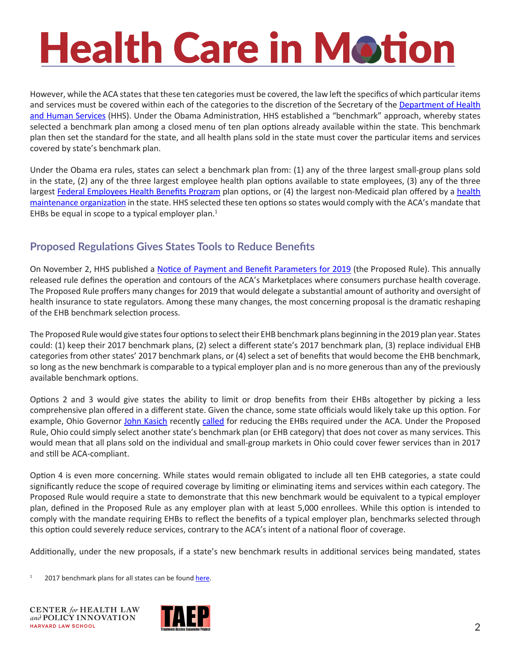# **Health Care in Motion**

However, while the ACA states that these ten categories must be covered, the law left the specifics of which particular items and services must be covered within each of the categories to the discretion of the Secretary of the Department of Health [and Human Services](https://www.hhs.gov/) (HHS). Under the Obama Administration, HHS established a "benchmark" approach, whereby states selected a benchmark plan among a closed menu of ten plan options already available within the state. This benchmark plan then set the standard for the state, and all health plans sold in the state must cover the particular items and services covered by state's benchmark plan.

Under the Obama era rules, states can select a benchmark plan from: (1) any of the three largest small-group plans sold in the state, (2) any of the three largest employee health plan options available to state employees, (3) any of the three largest [Federal Employees Health Benefits Program](https://www.opm.gov/healthcare-insurance/healthcare/) plan options, or (4) the largest non-Medicaid plan offered by a health [maintenance organization](https://www.healthcare.gov/glossary/health-maintenance-organization-hmo/) in the state. HHS selected these ten options so states would comply with the ACA's mandate that EHBs be equal in scope to a typical employer plan. $1$ 

### **Proposed Regulations Gives States Tools to Reduce Benefits**

On November 2, HHS published a [Notice of Payment and Benefit Parameters for 2019](https://www.federalregister.gov/documents/2017/11/02/2017-23599/patient-protection-and-affordable-care-act-hhs-notice-of-benefit-and-payment-parameters-for-2019) (the Proposed Rule). This annually released rule defines the operation and contours of the ACA's Marketplaces where consumers purchase health coverage. The Proposed Rule proffers many changes for 2019 that would delegate a substantial amount of authority and oversight of health insurance to state regulators. Among these many changes, the most concerning proposal is the dramatic reshaping of the EHB benchmark selection process.

The Proposed Rule would give states four options to select their EHB benchmark plans beginning in the 2019 plan year. States could: (1) keep their 2017 benchmark plans, (2) select a different state's 2017 benchmark plan, (3) replace individual EHB categories from other states' 2017 benchmark plans, or (4) select a set of benefits that would become the EHB benchmark, so long as the new benchmark is comparable to a typical employer plan and is no more generous than any of the previously available benchmark options.

Options 2 and 3 would give states the ability to limit or drop benefits from their EHBs altogether by picking a less comprehensive plan offered in a different state. Given the chance, some state officials would likely take up this option. For example, Ohio Governor [John Kasich](http://www.governor.ohio.gov/Contact/Contact-the-Governor) recently [called](http://www.washingtonexaminer.com/govs-kasich-hickenlooper-urge-state-flexibility-on-obamacare/article/2633822) for reducing the EHBs required under the ACA. Under the Proposed Rule, Ohio could simply select another state's benchmark plan (or EHB category) that does not cover as many services. This would mean that all plans sold on the individual and small-group markets in Ohio could cover fewer services than in 2017 and still be ACA-compliant.

Option 4 is even more concerning. While states would remain obligated to include all ten EHB categories, a state could significantly reduce the scope of required coverage by limiting or eliminating items and services within each category. The Proposed Rule would require a state to demonstrate that this new benchmark would be equivalent to a typical employer plan, defined in the Proposed Rule as any employer plan with at least 5,000 enrollees. While this option is intended to comply with the mandate requiring EHBs to reflect the benefits of a typical employer plan, benchmarks selected through this option could severely reduce services, contrary to the ACA's intent of a national floor of coverage.

Additionally, under the new proposals, if a state's new benchmark results in additional services being mandated, states

2017 benchmark plans for all states can be found [here](https://www.cms.gov/cciio/resources/data-resources/ehb.html).